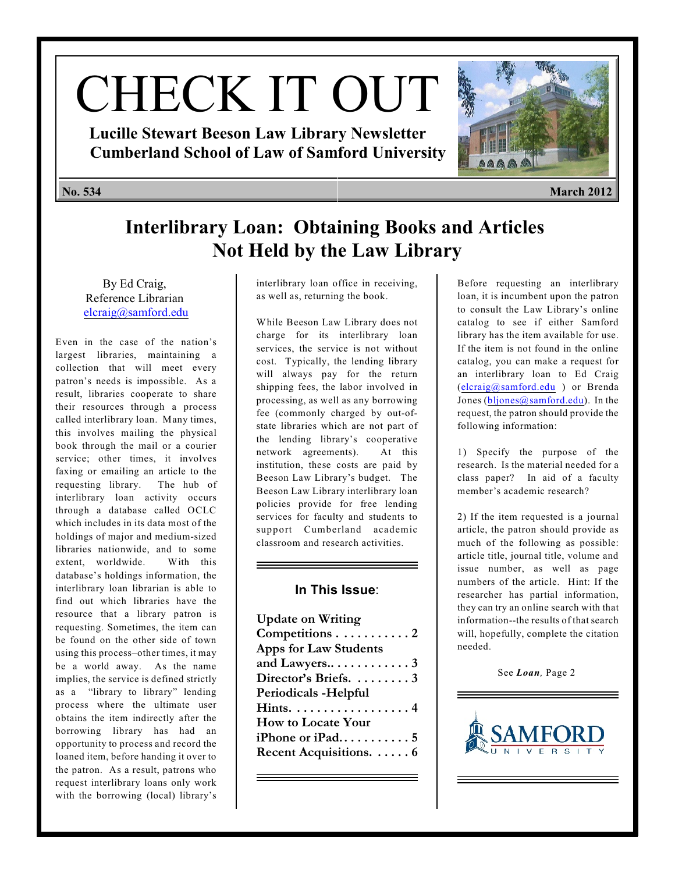# CHECK IT OUT

**Lucille Stewart Beeson Law Library Newsletter Cumberland School of Law of Samford University**



# **Interlibrary Loan: Obtaining Books and Articles Not Held by the Law Library**

By Ed Craig, Reference Librarian [elcraig@samford.edu](mailto:elcraig@samford.edu)

Even in the case of the nation's largest libraries, maintaining a collection that will meet every patron's needs is impossible. As a result, libraries cooperate to share their resources through a process called interlibrary loan. Many times, this involves mailing the physical book through the mail or a courier service; other times, it involves faxing or emailing an article to the requesting library. The hub of interlibrary loan activity occurs through a database called OCLC which includes in its data most of the holdings of major and medium-sized libraries nationwide, and to some extent, worldwide. With this database's holdings information, the interlibrary loan librarian is able to find out which libraries have the resource that a library patron is requesting. Sometimes, the item can be found on the other side of town using this process–other times, it may be a world away. As the name implies, the service is defined strictly as a "library to library" lending process where the ultimate user obtains the item indirectly after the borrowing library has had an opportunity to process and record the loaned item, before handing it over to the patron. As a result, patrons who request interlibrary loans only work with the borrowing (local) library's interlibrary loan office in receiving, as well as, returning the book.

While Beeson Law Library does not charge for its interlibrary loan services, the service is not without cost. Typically, the lending library will always pay for the return shipping fees, the labor involved in processing, as well as any borrowing fee (commonly charged by out-ofstate libraries which are not part of the lending library's cooperative network agreements). At this institution, these costs are paid by Beeson Law Library's budget. The Beeson Law Library interlibrary loan policies provide for free lending services for faculty and students to support Cumberland academic classroom and research activities.

### **In This Issue**:

| <b>Update on Writing</b>            |  |
|-------------------------------------|--|
| Competitions 2                      |  |
| <b>Apps for Law Students</b>        |  |
| and Lawyers $\dots \dots \dots$ . 3 |  |
| Director's Briefs.  3               |  |
| Periodicals - Helpful               |  |
| Hints. 4                            |  |
| <b>How to Locate Your</b>           |  |
| iPhone or iPad5                     |  |
| Recent Acquisitions.  6             |  |
|                                     |  |

Before requesting an interlibrary loan, it is incumbent upon the patron to consult the Law Library's online catalog to see if either Samford library has the item available for use. If the item is not found in the online catalog, you can make a request for an interlibrary loan to Ed Craig [\(elcraig@samford.edu](mailto:elcraig@samford.edu) ) or Brenda Jones [\(bljones@samford.edu](mailto:bljones@samford.edu)). In the request, the patron should provide the following information:

1) Specify the purpose of the research. Is the material needed for a class paper? In aid of a faculty member's academic research?

2) If the item requested is a journal article, the patron should provide as much of the following as possible: article title, journal title, volume and issue number, as well as page numbers of the article. Hint: If the researcher has partial information, they can try an online search with that information--the results of that search will, hopefully, complete the citation needed.

See *Loan,* Page 2

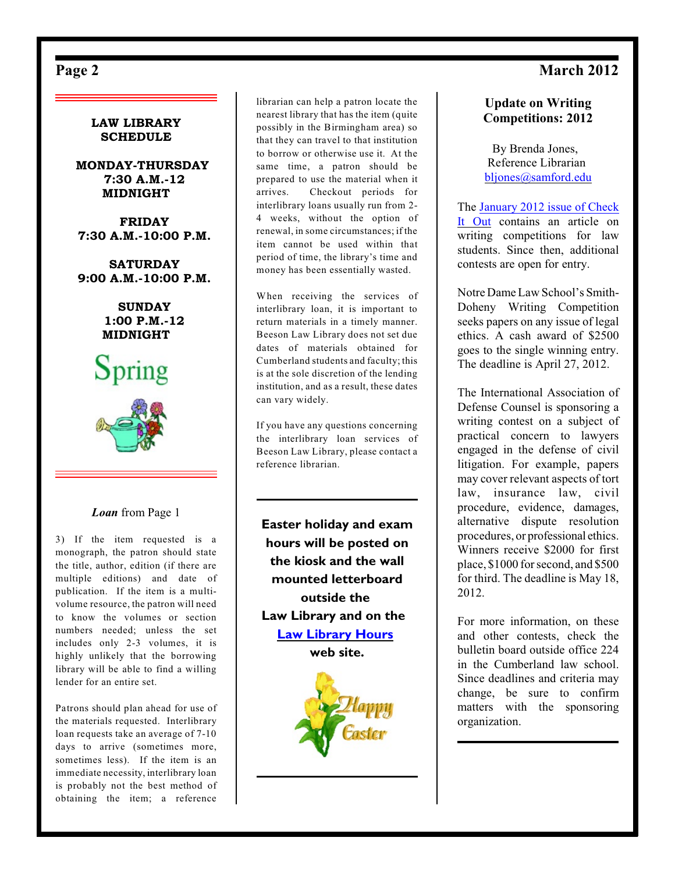# <span id="page-1-0"></span>Page 2 March 2012



#### *Loan* from Page 1

3) If the item requested is a monograph, the patron should state the title, author, edition (if there are multiple editions) and date of publication. If the item is a multivolume resource, the patron will need to know the volumes or section numbers needed; unless the set includes only 2-3 volumes, it is highly unlikely that the borrowing library will be able to find a willing lender for an entire set.

Patrons should plan ahead for use of the materials requested. Interlibrary loan requests take an average of 7-10 days to arrive (sometimes more, sometimes less). If the item is an immediate necessity, interlibrary loan is probably not the best method of obtaining the item; a reference

librarian can help a patron locate the nearest library that has the item (quite possibly in the Birmingham area) so that they can travel to that institution to borrow or otherwise use it. At the same time, a patron should be prepared to use the material when it arrives. Checkout periods for interlibrary loans usually run from 2- 4 weeks, without the option of renewal, in some circumstances; if the item cannot be used within that period of time, the library's time and money has been essentially wasted.

When receiving the services of interlibrary loan, it is important to return materials in a timely manner. Beeson Law Library does not set due dates of materials obtained for Cumberland students and faculty; this is at the sole discretion of the lending institution, and as a result, these dates can vary widely.

If you have any questions concerning the interlibrary loan services of Beeson Law Library, please contact a reference librarian.

**Easter holiday and exam hours will be posted on the kiosk and the wall mounted letterboard outside the Law Library and on the [Law Library Hours](http://lawlib.samford.edu/?page_id=194) web site.**



### **Update on Writing Competitions: 2012**

By Brenda Jones, Reference Librarian [bljones@samford.edu](mailto:bljones@samford.edu)

The [January 2012 issue of Check](http://lawlib.samford.edu/wp-content/uploads/2012/01/ciojan12.pdf) [It Out](http://lawlib.samford.edu/wp-content/uploads/2012/01/ciojan12.pdf) contains an article on writing competitions for law students. Since then, additional contests are open for entry.

Notre Dame Law School's Smith-Doheny Writing Competition seeks papers on any issue of legal ethics. A cash award of \$2500 goes to the single winning entry. The deadline is April 27, 2012.

The International Association of Defense Counsel is sponsoring a writing contest on a subject of practical concern to lawyers engaged in the defense of civil litigation. For example, papers may cover relevant aspects of tort law, insurance law, civil procedure, evidence, damages, alternative dispute resolution procedures, or professional ethics. Winners receive \$2000 for first place, \$1000 for second, and \$500 for third. The deadline is May 18, 2012.

For more information, on these and other contests, check the bulletin board outside office 224 in the Cumberland law school. Since deadlines and criteria may change, be sure to confirm matters with the sponsoring organization.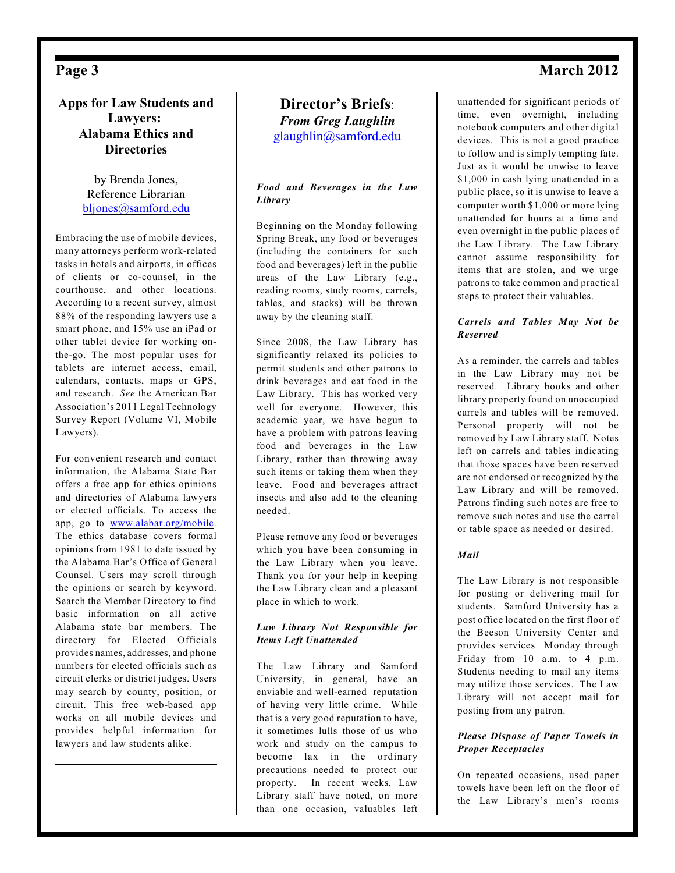## **Apps for Law Students and Lawyers: Alabama Ethics and Directories**

by Brenda Jones, Reference Librarian [bljones@samford.edu](mailto:bljones@samford.edu)

Embracing the use of mobile devices, many attorneys perform work-related tasks in hotels and airports, in offices of clients or co-counsel, in the courthouse, and other locations. According to a recent survey, almost 88% of the responding lawyers use a smart phone, and 15% use an iPad or other tablet device for working onthe-go. The most popular uses for tablets are internet access, email, calendars, contacts, maps or GPS, and research. *See* the American Bar Association's 2011 Legal Technology Survey Report (Volume VI, Mobile Lawyers).

For convenient research and contact information, the Alabama State Bar offers a free app for ethics opinions and directories of Alabama lawyers or elected officials. To access the app, go to [www.alabar.org/mobile](http://www.alabar.org/mobile). The ethics database covers formal opinions from 1981 to date issued by the Alabama Bar's Office of General Counsel. Users may scroll through the opinions or search by keyword. Search the Member Directory to find basic information on all active Alabama state bar members. The directory for Elected Officials provides names, addresses, and phone numbers for elected officials such as circuit clerks or district judges. Users may search by county, position, or circuit. This free web-based app works on all mobile devices and provides helpful information for lawyers and law students alike.

## **Director's Briefs**: *From Greg Laughlin* [glaughlin@samford.edu](mailto:glaughlin@samford.edu)

#### *Food and Beverages in the Law Library*

Beginning on the Monday following Spring Break, any food or beverages (including the containers for such food and beverages) left in the public areas of the Law Library (e.g., reading rooms, study rooms, carrels, tables, and stacks) will be thrown away by the cleaning staff.

Since 2008, the Law Library has significantly relaxed its policies to permit students and other patrons to drink beverages and eat food in the Law Library. This has worked very well for everyone. However, this academic year, we have begun to have a problem with patrons leaving food and beverages in the Law Library, rather than throwing away such items or taking them when they leave. Food and beverages attract insects and also add to the cleaning needed.

Please remove any food or beverages which you have been consuming in the Law Library when you leave. Thank you for your help in keeping the Law Library clean and a pleasant place in which to work.

#### *Law Library Not Responsible for Items Left Unattended*

The Law Library and Samford University, in general, have an enviable and well-earned reputation of having very little crime. While that is a very good reputation to have, it sometimes lulls those of us who work and study on the campus to become lax in the ordinary precautions needed to protect our property. In recent weeks, Law Library staff have noted, on more than one occasion, valuables left

unattended for significant periods of time, even overnight, including notebook computers and other digital devices. This is not a good practice to follow and is simply tempting fate. Just as it would be unwise to leave \$1,000 in cash lying unattended in a public place, so it is unwise to leave a computer worth \$1,000 or more lying unattended for hours at a time and even overnight in the public places of the Law Library. The Law Library cannot assume responsibility for items that are stolen, and we urge patrons to take common and practical steps to protect their valuables.

#### *Carrels and Tables May Not be Reserved*

As a reminder, the carrels and tables in the Law Library may not be reserved. Library books and other library property found on unoccupied carrels and tables will be removed. Personal property will not be removed by Law Library staff. Notes left on carrels and tables indicating that those spaces have been reserved are not endorsed or recognized by the Law Library and will be removed. Patrons finding such notes are free to remove such notes and use the carrel or table space as needed or desired.

#### *Mail*

The Law Library is not responsible for posting or delivering mail for students. Samford University has a post office located on the first floor of the Beeson University Center and provides services Monday through Friday from 10 a.m. to 4 p.m. Students needing to mail any items may utilize those services. The Law Library will not accept mail for posting from any patron.

#### *Please Dispose of Paper Towels in Proper Receptacles*

On repeated occasions, used paper towels have been left on the floor of the Law Library's men's rooms

# <span id="page-2-0"></span>**Page 3** March 2012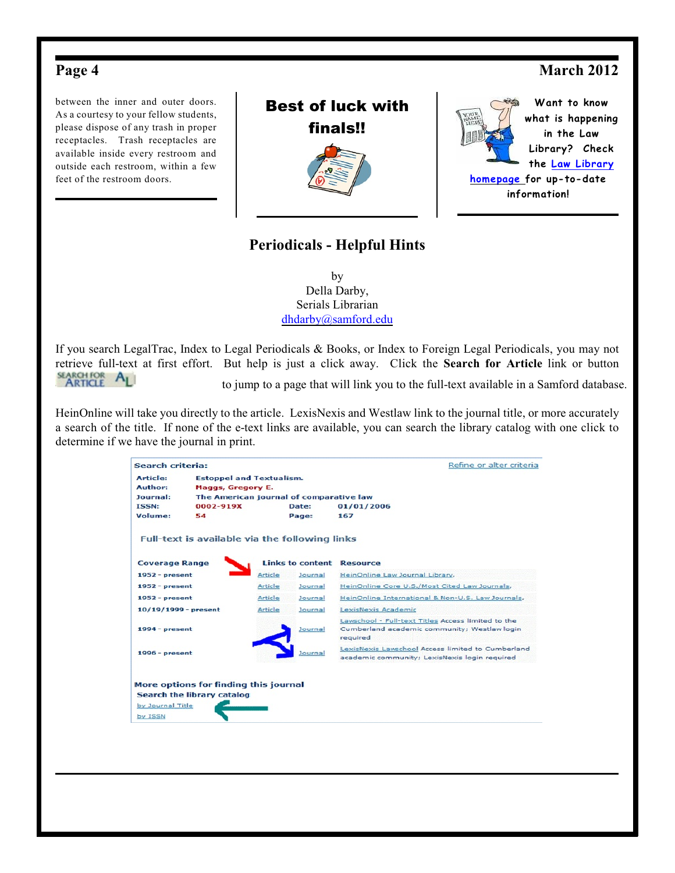# <span id="page-3-0"></span>Page 4 March 2012

between the inner and outer doors. As a courtesy to your fellow students, please dispose of any trash in proper receptacles. Trash receptacles are available inside every restroom and outside each restroom, within a few feet of the restroom doors.





**Want to know what is happening in the Law Library? Check the [Law Library](http://lawlib.samford.edu) [homepage](http://lawlib.samford.edu) for up-to-date information!**

# **Periodicals - Helpful Hints**

by Della Darby, Serials Librarian [dhdarby@samford.edu](mailto:dhdarby@samford.edu)

If you search LegalTrac, Index to Legal Periodicals & Books, or Index to Foreign Legal Periodicals, you may not retrieve full-text at first effort. But help is just a click away. Click the **Search for Article** link or button<br>**ARTICLE** ALL to jump to a page that will link you to the full-text available in a Samford database to jump to a page that will link you to the full-text available in a Samford database.

HeinOnline will take you directly to the article. LexisNexis and Westlaw link to the journal title, or more accurately a search of the title. If none of the e-text links are available, you can search the library catalog with one click to determine if we have the journal in print.

| <b>Estoppel and Textualism.</b><br><b>Maggs, Gregory E.</b><br>The American journal of comparative law<br>0002-919X<br>Full-text is available via the following links | Date:<br>Page:          | 01/01/2006<br>167                                                                                              |
|-----------------------------------------------------------------------------------------------------------------------------------------------------------------------|-------------------------|----------------------------------------------------------------------------------------------------------------|
|                                                                                                                                                                       |                         |                                                                                                                |
|                                                                                                                                                                       |                         |                                                                                                                |
|                                                                                                                                                                       |                         |                                                                                                                |
|                                                                                                                                                                       |                         |                                                                                                                |
|                                                                                                                                                                       |                         |                                                                                                                |
|                                                                                                                                                                       |                         |                                                                                                                |
|                                                                                                                                                                       | <b>Links to content</b> | <b>Resource</b>                                                                                                |
| Article                                                                                                                                                               | Journal                 | HeinOnline Law Journal Library,                                                                                |
| Article                                                                                                                                                               | Journal                 | HeinOnline Core U.S./Most Cited Law Journals,                                                                  |
| Article                                                                                                                                                               | Journal                 | HeinOnline International & Non-U.S. Law Journals,                                                              |
| Article                                                                                                                                                               | Journal                 | LexisNexis Academic                                                                                            |
|                                                                                                                                                                       | Journal                 | Lawschool - Full-text Titles Access limited to the<br>Cumberland academic community; Westlaw login<br>required |
|                                                                                                                                                                       | Journal                 | LexisNexis Lawschool Access limited to Cumberland<br>academic community; LexisNexis login required             |
|                                                                                                                                                                       |                         | More options for finding this journal                                                                          |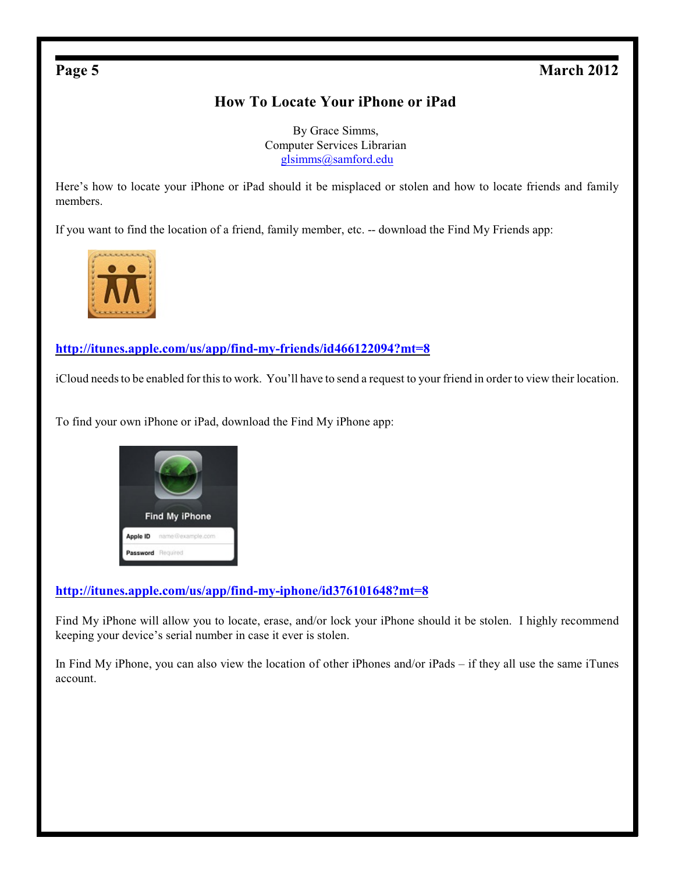# <span id="page-4-0"></span>**Page 5** March 2012

# **How To Locate Your iPhone or iPad**

By Grace Simms, Computer Services Librarian [glsimms@samford.edu](mailto:glsimms@samford.edu)

Here's how to locate your iPhone or iPad should it be misplaced or stolen and how to locate friends and family members.

If you want to find the location of a friend, family member, etc. -- download the Find My Friends app:



## **<http://itunes.apple.com/us/app/find-my-friends/id466122094?mt=8>**

iCloud needs to be enabled for this to work. You'll have to send a request to your friend in order to view their location.

To find your own iPhone or iPad, download the Find My iPhone app:



## **<http://itunes.apple.com/us/app/find-my-iphone/id376101648?mt=8>**

Find My iPhone will allow you to locate, erase, and/or lock your iPhone should it be stolen. I highly recommend keeping your device's serial number in case it ever is stolen.

In Find My iPhone, you can also view the location of other iPhones and/or iPads – if they all use the same iTunes account.